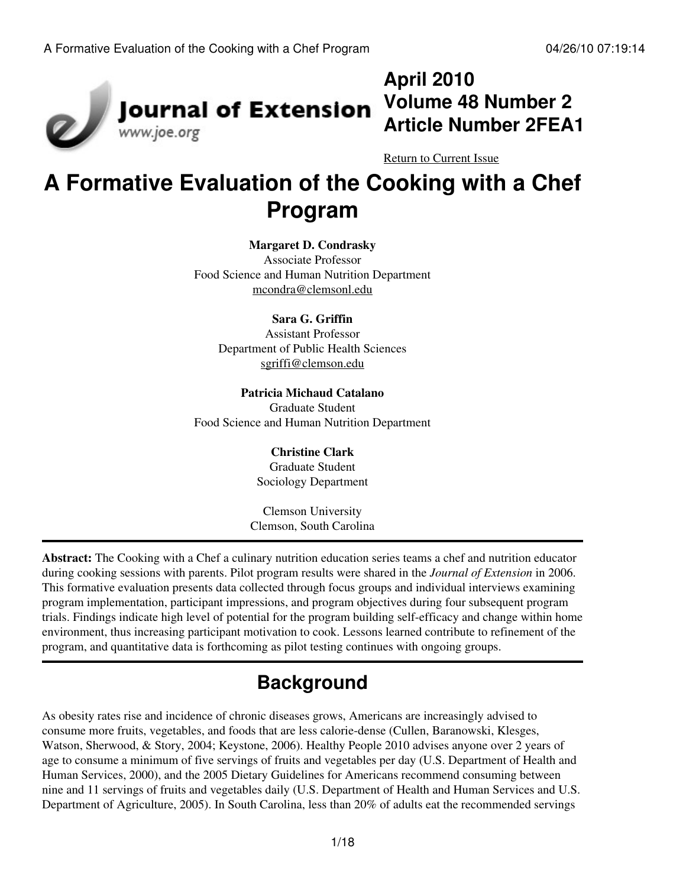

# **April 2010 Volume 48 Number 2 Article Number 2FEA1**

[Return to Current Issue](http://www.joe.org:80/joe/2010april/)

# **A Formative Evaluation of the Cooking with a Chef Program**

#### **Margaret D. Condrasky**

Associate Professor Food Science and Human Nutrition Department [mcondra@clemsonl.edu](mailto:mcondra@clemsonl.edu)

#### **Sara G. Griffin**

Assistant Professor Department of Public Health Sciences [sgriffi@clemson.edu](mailto:sgriffi@clemson.edu)

**Patricia Michaud Catalano** Graduate Student Food Science and Human Nutrition Department

#### **Christine Clark** Graduate Student

Sociology Department

Clemson University Clemson, South Carolina

**Abstract:** The Cooking with a Chef a culinary nutrition education series teams a chef and nutrition educator during cooking sessions with parents. Pilot program results were shared in the *Journal of Extension* in 2006. This formative evaluation presents data collected through focus groups and individual interviews examining program implementation, participant impressions, and program objectives during four subsequent program trials. Findings indicate high level of potential for the program building self-efficacy and change within home environment, thus increasing participant motivation to cook. Lessons learned contribute to refinement of the program, and quantitative data is forthcoming as pilot testing continues with ongoing groups.

# **Background**

As obesity rates rise and incidence of chronic diseases grows, Americans are increasingly advised to consume more fruits, vegetables, and foods that are less calorie-dense (Cullen, Baranowski, Klesges, Watson, Sherwood, & Story, 2004; Keystone, 2006). Healthy People 2010 advises anyone over 2 years of age to consume a minimum of five servings of fruits and vegetables per day (U.S. Department of Health and Human Services, 2000), and the 2005 Dietary Guidelines for Americans recommend consuming between nine and 11 servings of fruits and vegetables daily (U.S. Department of Health and Human Services and U.S. Department of Agriculture, 2005). In South Carolina, less than 20% of adults eat the recommended servings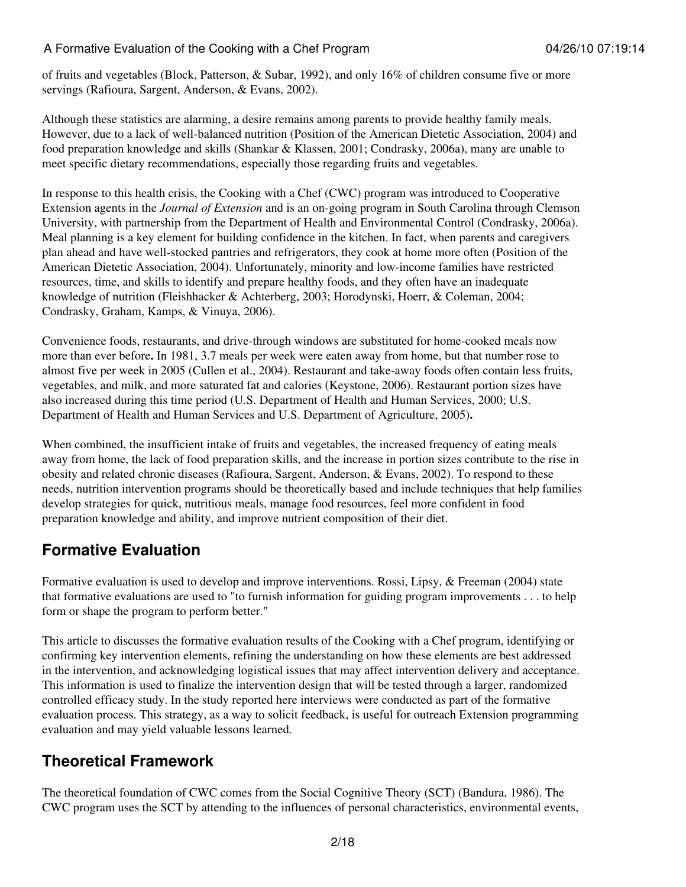of fruits and vegetables (Block, Patterson, & Subar, 1992), and only 16% of children consume five or more servings (Rafioura, Sargent, Anderson, & Evans, 2002).

Although these statistics are alarming, a desire remains among parents to provide healthy family meals. However, due to a lack of well-balanced nutrition (Position of the American Dietetic Association, 2004) and food preparation knowledge and skills (Shankar & Klassen, 2001; Condrasky, 2006a), many are unable to meet specific dietary recommendations, especially those regarding fruits and vegetables.

In response to this health crisis, the Cooking with a Chef (CWC) program was introduced to Cooperative Extension agents in the *Journal of Extension* and is an on-going program in South Carolina through Clemson University, with partnership from the Department of Health and Environmental Control (Condrasky, 2006a). Meal planning is a key element for building confidence in the kitchen. In fact, when parents and caregivers plan ahead and have well-stocked pantries and refrigerators, they cook at home more often (Position of the American Dietetic Association, 2004). Unfortunately, minority and low-income families have restricted resources, time, and skills to identify and prepare healthy foods, and they often have an inadequate knowledge of nutrition (Fleishhacker & Achterberg, 2003; Horodynski, Hoerr, & Coleman, 2004; Condrasky, Graham, Kamps, & Vinuya, 2006).

Convenience foods, restaurants, and drive-through windows are substituted for home-cooked meals now more than ever before**.** In 1981, 3.7 meals per week were eaten away from home, but that number rose to almost five per week in 2005 (Cullen et al., 2004). Restaurant and take-away foods often contain less fruits, vegetables, and milk, and more saturated fat and calories (Keystone, 2006). Restaurant portion sizes have also increased during this time period (U.S. Department of Health and Human Services, 2000; U.S. Department of Health and Human Services and U.S. Department of Agriculture, 2005)**.**

When combined, the insufficient intake of fruits and vegetables, the increased frequency of eating meals away from home, the lack of food preparation skills, and the increase in portion sizes contribute to the rise in obesity and related chronic diseases (Rafioura, Sargent, Anderson, & Evans, 2002). To respond to these needs, nutrition intervention programs should be theoretically based and include techniques that help families develop strategies for quick, nutritious meals, manage food resources, feel more confident in food preparation knowledge and ability, and improve nutrient composition of their diet.

### **Formative Evaluation**

Formative evaluation is used to develop and improve interventions. Rossi, Lipsy, & Freeman (2004) state that formative evaluations are used to "to furnish information for guiding program improvements . . . to help form or shape the program to perform better."

This article to discusses the formative evaluation results of the Cooking with a Chef program, identifying or confirming key intervention elements, refining the understanding on how these elements are best addressed in the intervention, and acknowledging logistical issues that may affect intervention delivery and acceptance. This information is used to finalize the intervention design that will be tested through a larger, randomized controlled efficacy study. In the study reported here interviews were conducted as part of the formative evaluation process. This strategy, as a way to solicit feedback, is useful for outreach Extension programming evaluation and may yield valuable lessons learned.

### **Theoretical Framework**

The theoretical foundation of CWC comes from the Social Cognitive Theory (SCT) (Bandura, 1986). The CWC program uses the SCT by attending to the influences of personal characteristics, environmental events,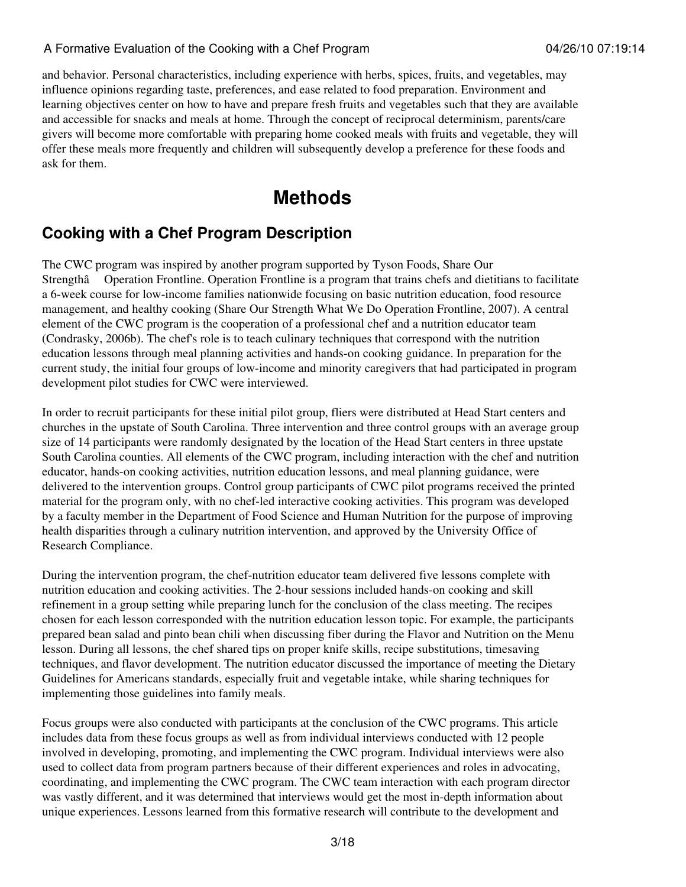and behavior. Personal characteristics, including experience with herbs, spices, fruits, and vegetables, may influence opinions regarding taste, preferences, and ease related to food preparation. Environment and learning objectives center on how to have and prepare fresh fruits and vegetables such that they are available and accessible for snacks and meals at home. Through the concept of reciprocal determinism, parents/care givers will become more comfortable with preparing home cooked meals with fruits and vegetable, they will offer these meals more frequently and children will subsequently develop a preference for these foods and ask for them.

## **Methods**

### **Cooking with a Chef Program Description**

The CWC program was inspired by another program supported by Tyson Foods, Share Our Strengthâ Operation Frontline. Operation Frontline is a program that trains chefs and dietitians to facilitate a 6-week course for low-income families nationwide focusing on basic nutrition education, food resource management, and healthy cooking (Share Our Strength What We Do Operation Frontline, 2007). A central element of the CWC program is the cooperation of a professional chef and a nutrition educator team (Condrasky, 2006b). The chef's role is to teach culinary techniques that correspond with the nutrition education lessons through meal planning activities and hands-on cooking guidance. In preparation for the current study, the initial four groups of low-income and minority caregivers that had participated in program development pilot studies for CWC were interviewed.

In order to recruit participants for these initial pilot group, fliers were distributed at Head Start centers and churches in the upstate of South Carolina. Three intervention and three control groups with an average group size of 14 participants were randomly designated by the location of the Head Start centers in three upstate South Carolina counties. All elements of the CWC program, including interaction with the chef and nutrition educator, hands-on cooking activities, nutrition education lessons, and meal planning guidance, were delivered to the intervention groups. Control group participants of CWC pilot programs received the printed material for the program only, with no chef-led interactive cooking activities. This program was developed by a faculty member in the Department of Food Science and Human Nutrition for the purpose of improving health disparities through a culinary nutrition intervention, and approved by the University Office of Research Compliance.

During the intervention program, the chef-nutrition educator team delivered five lessons complete with nutrition education and cooking activities. The 2-hour sessions included hands-on cooking and skill refinement in a group setting while preparing lunch for the conclusion of the class meeting. The recipes chosen for each lesson corresponded with the nutrition education lesson topic. For example, the participants prepared bean salad and pinto bean chili when discussing fiber during the Flavor and Nutrition on the Menu lesson. During all lessons, the chef shared tips on proper knife skills, recipe substitutions, timesaving techniques, and flavor development. The nutrition educator discussed the importance of meeting the Dietary Guidelines for Americans standards, especially fruit and vegetable intake, while sharing techniques for implementing those guidelines into family meals.

Focus groups were also conducted with participants at the conclusion of the CWC programs. This article includes data from these focus groups as well as from individual interviews conducted with 12 people involved in developing, promoting, and implementing the CWC program. Individual interviews were also used to collect data from program partners because of their different experiences and roles in advocating, coordinating, and implementing the CWC program. The CWC team interaction with each program director was vastly different, and it was determined that interviews would get the most in-depth information about unique experiences. Lessons learned from this formative research will contribute to the development and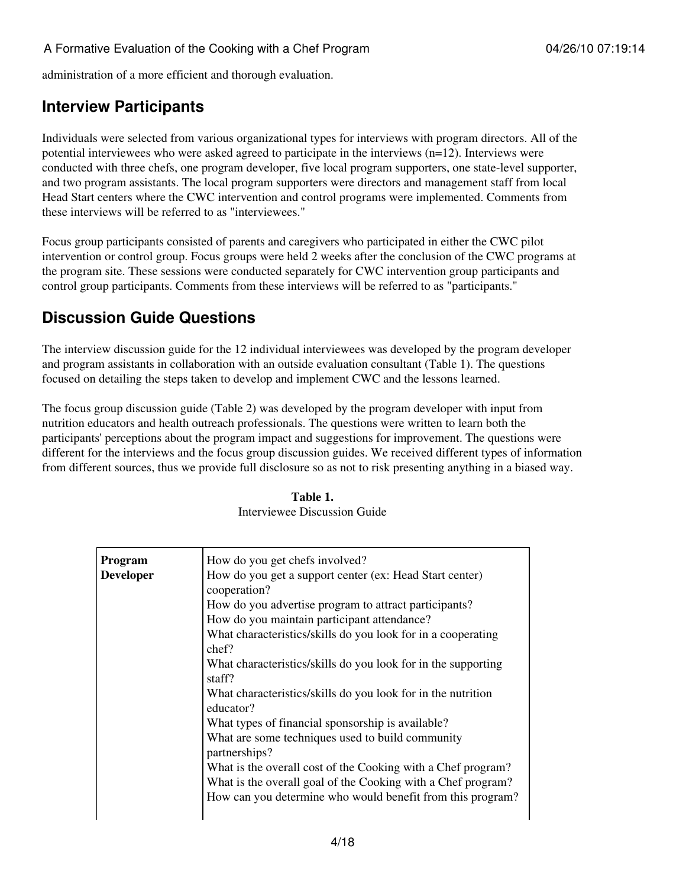administration of a more efficient and thorough evaluation.

### **Interview Participants**

Individuals were selected from various organizational types for interviews with program directors. All of the potential interviewees who were asked agreed to participate in the interviews (n=12). Interviews were conducted with three chefs, one program developer, five local program supporters, one state-level supporter, and two program assistants. The local program supporters were directors and management staff from local Head Start centers where the CWC intervention and control programs were implemented. Comments from these interviews will be referred to as "interviewees."

Focus group participants consisted of parents and caregivers who participated in either the CWC pilot intervention or control group. Focus groups were held 2 weeks after the conclusion of the CWC programs at the program site. These sessions were conducted separately for CWC intervention group participants and control group participants. Comments from these interviews will be referred to as "participants."

### **Discussion Guide Questions**

The interview discussion guide for the 12 individual interviewees was developed by the program developer and program assistants in collaboration with an outside evaluation consultant (Table 1). The questions focused on detailing the steps taken to develop and implement CWC and the lessons learned.

The focus group discussion guide (Table 2) was developed by the program developer with input from nutrition educators and health outreach professionals. The questions were written to learn both the participants' perceptions about the program impact and suggestions for improvement. The questions were different for the interviews and the focus group discussion guides. We received different types of information from different sources, thus we provide full disclosure so as not to risk presenting anything in a biased way.

| Program          | How do you get chefs involved?                                |  |  |  |  |  |
|------------------|---------------------------------------------------------------|--|--|--|--|--|
| <b>Developer</b> | How do you get a support center (ex: Head Start center)       |  |  |  |  |  |
|                  | cooperation?                                                  |  |  |  |  |  |
|                  | How do you advertise program to attract participants?         |  |  |  |  |  |
|                  | How do you maintain participant attendance?                   |  |  |  |  |  |
|                  | What characteristics/skills do you look for in a cooperating  |  |  |  |  |  |
|                  | chef?                                                         |  |  |  |  |  |
|                  | What characteristics/skills do you look for in the supporting |  |  |  |  |  |
|                  | staff?                                                        |  |  |  |  |  |
|                  | What characteristics/skills do you look for in the nutrition  |  |  |  |  |  |
|                  | educator?                                                     |  |  |  |  |  |
|                  | What types of financial sponsorship is available?             |  |  |  |  |  |
|                  | What are some techniques used to build community              |  |  |  |  |  |
|                  | partnerships?                                                 |  |  |  |  |  |
|                  | What is the overall cost of the Cooking with a Chef program?  |  |  |  |  |  |
|                  | What is the overall goal of the Cooking with a Chef program?  |  |  |  |  |  |
|                  | How can you determine who would benefit from this program?    |  |  |  |  |  |
|                  |                                                               |  |  |  |  |  |
|                  |                                                               |  |  |  |  |  |

| Table 1.                     |  |  |  |  |  |
|------------------------------|--|--|--|--|--|
| Interviewee Discussion Guide |  |  |  |  |  |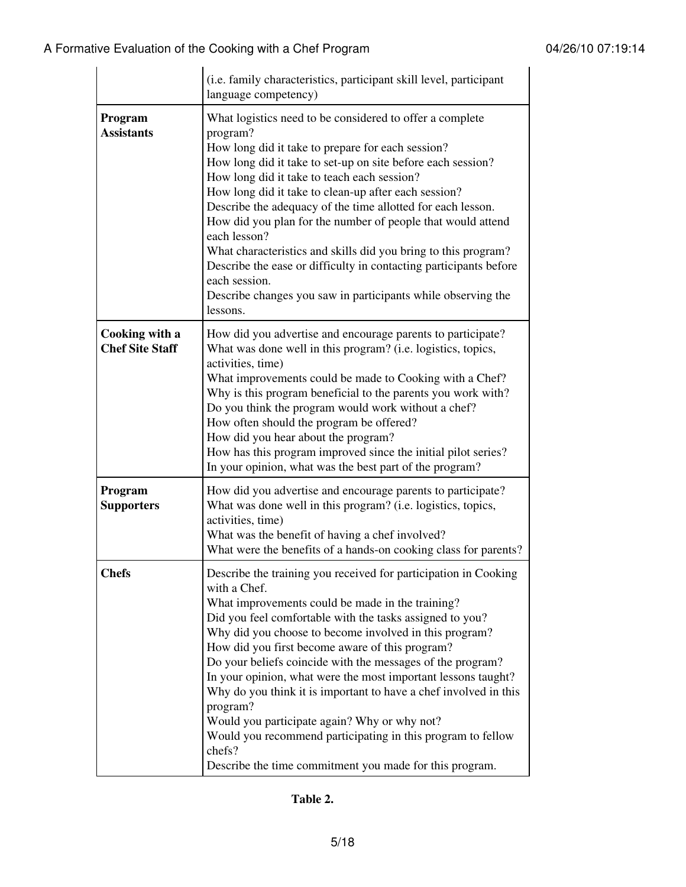|                                          | (i.e. family characteristics, participant skill level, participant<br>language competency)                                                                                                                                                                                                                                                                                                                                                                                                                                                                                                                                                                                                                      |  |  |  |  |
|------------------------------------------|-----------------------------------------------------------------------------------------------------------------------------------------------------------------------------------------------------------------------------------------------------------------------------------------------------------------------------------------------------------------------------------------------------------------------------------------------------------------------------------------------------------------------------------------------------------------------------------------------------------------------------------------------------------------------------------------------------------------|--|--|--|--|
| Program<br><b>Assistants</b>             | What logistics need to be considered to offer a complete<br>program?<br>How long did it take to prepare for each session?<br>How long did it take to set-up on site before each session?<br>How long did it take to teach each session?<br>How long did it take to clean-up after each session?<br>Describe the adequacy of the time allotted for each lesson.<br>How did you plan for the number of people that would attend<br>each lesson?<br>What characteristics and skills did you bring to this program?<br>Describe the ease or difficulty in contacting participants before<br>each session.<br>Describe changes you saw in participants while observing the<br>lessons.                               |  |  |  |  |
| Cooking with a<br><b>Chef Site Staff</b> | How did you advertise and encourage parents to participate?<br>What was done well in this program? (i.e. logistics, topics,<br>activities, time)<br>What improvements could be made to Cooking with a Chef?<br>Why is this program beneficial to the parents you work with?<br>Do you think the program would work without a chef?<br>How often should the program be offered?<br>How did you hear about the program?<br>How has this program improved since the initial pilot series?<br>In your opinion, what was the best part of the program?                                                                                                                                                               |  |  |  |  |
| Program<br><b>Supporters</b>             | How did you advertise and encourage parents to participate?<br>What was done well in this program? (i.e. logistics, topics,<br>activities, time)<br>What was the benefit of having a chef involved?<br>What were the benefits of a hands-on cooking class for parents?                                                                                                                                                                                                                                                                                                                                                                                                                                          |  |  |  |  |
| <b>Chefs</b>                             | Describe the training you received for participation in Cooking<br>with a Chef.<br>What improvements could be made in the training?<br>Did you feel comfortable with the tasks assigned to you?<br>Why did you choose to become involved in this program?<br>How did you first become aware of this program?<br>Do your beliefs coincide with the messages of the program?<br>In your opinion, what were the most important lessons taught?<br>Why do you think it is important to have a chef involved in this<br>program?<br>Would you participate again? Why or why not?<br>Would you recommend participating in this program to fellow<br>chefs?<br>Describe the time commitment you made for this program. |  |  |  |  |

**Table 2.**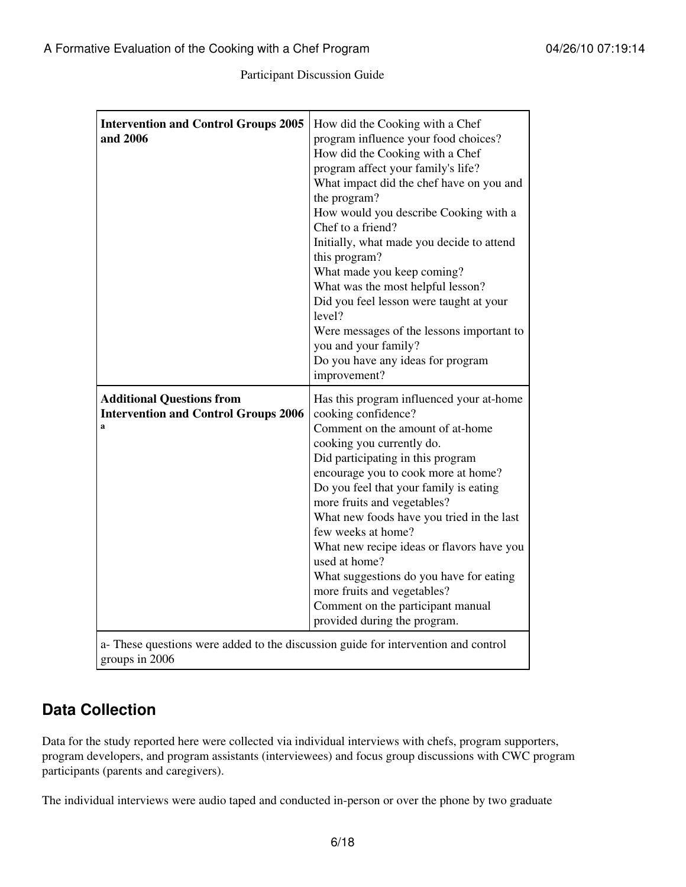Participant Discussion Guide

| <b>Intervention and Control Groups 2005</b><br>and 2006                                                                                                                    | How did the Cooking with a Chef<br>program influence your food choices?<br>How did the Cooking with a Chef<br>program affect your family's life?<br>What impact did the chef have on you and<br>the program?<br>How would you describe Cooking with a<br>Chef to a friend?<br>Initially, what made you decide to attend<br>this program?<br>What made you keep coming?<br>What was the most helpful lesson?<br>Did you feel lesson were taught at your<br>level?<br>Were messages of the lessons important to<br>you and your family?<br>Do you have any ideas for program<br>improvement? |
|----------------------------------------------------------------------------------------------------------------------------------------------------------------------------|--------------------------------------------------------------------------------------------------------------------------------------------------------------------------------------------------------------------------------------------------------------------------------------------------------------------------------------------------------------------------------------------------------------------------------------------------------------------------------------------------------------------------------------------------------------------------------------------|
| <b>Additional Questions from</b><br><b>Intervention and Control Groups 2006</b><br>a<br>a- These questions were added to the discussion guide for intervention and control | Has this program influenced your at-home<br>cooking confidence?<br>Comment on the amount of at-home<br>cooking you currently do.<br>Did participating in this program<br>encourage you to cook more at home?<br>Do you feel that your family is eating<br>more fruits and vegetables?<br>What new foods have you tried in the last<br>few weeks at home?<br>What new recipe ideas or flavors have you<br>used at home?<br>What suggestions do you have for eating<br>more fruits and vegetables?<br>Comment on the participant manual<br>provided during the program.                      |

groups in 2006

### **Data Collection**

Data for the study reported here were collected via individual interviews with chefs, program supporters, program developers, and program assistants (interviewees) and focus group discussions with CWC program participants (parents and caregivers).

The individual interviews were audio taped and conducted in-person or over the phone by two graduate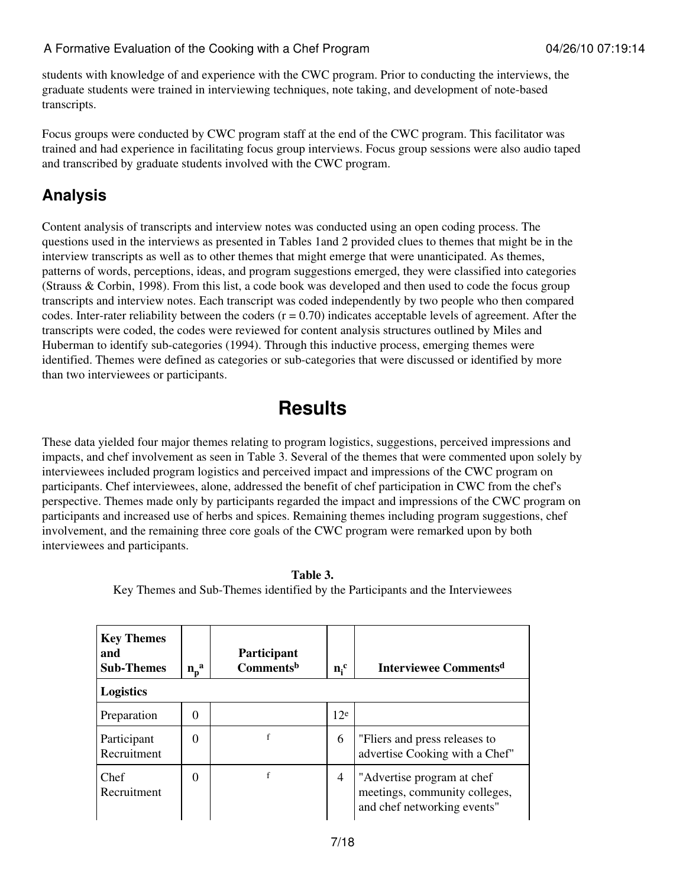students with knowledge of and experience with the CWC program. Prior to conducting the interviews, the graduate students were trained in interviewing techniques, note taking, and development of note-based transcripts.

Focus groups were conducted by CWC program staff at the end of the CWC program. This facilitator was trained and had experience in facilitating focus group interviews. Focus group sessions were also audio taped and transcribed by graduate students involved with the CWC program.

### **Analysis**

Content analysis of transcripts and interview notes was conducted using an open coding process. The questions used in the interviews as presented in Tables 1and 2 provided clues to themes that might be in the interview transcripts as well as to other themes that might emerge that were unanticipated. As themes, patterns of words, perceptions, ideas, and program suggestions emerged, they were classified into categories (Strauss & Corbin, 1998). From this list, a code book was developed and then used to code the focus group transcripts and interview notes. Each transcript was coded independently by two people who then compared codes. Inter-rater reliability between the coders  $(r = 0.70)$  indicates acceptable levels of agreement. After the transcripts were coded, the codes were reviewed for content analysis structures outlined by Miles and Huberman to identify sub-categories (1994). Through this inductive process, emerging themes were identified. Themes were defined as categories or sub-categories that were discussed or identified by more than two interviewees or participants.

## **Results**

These data yielded four major themes relating to program logistics, suggestions, perceived impressions and impacts, and chef involvement as seen in Table 3. Several of the themes that were commented upon solely by interviewees included program logistics and perceived impact and impressions of the CWC program on participants. Chef interviewees, alone, addressed the benefit of chef participation in CWC from the chef's perspective. Themes made only by participants regarded the impact and impressions of the CWC program on participants and increased use of herbs and spices. Remaining themes including program suggestions, chef involvement, and the remaining three core goals of the CWC program were remarked upon by both interviewees and participants.

| <b>Key Themes</b><br>and<br><b>Sub-Themes</b> | $n_{\rm p}^{\rm a}$ | <b>Participant</b><br>Comments <sup>b</sup> | $n_i^c$         | Interviewee Comments <sup>d</sup>                                                           |
|-----------------------------------------------|---------------------|---------------------------------------------|-----------------|---------------------------------------------------------------------------------------------|
| <b>Logistics</b>                              |                     |                                             |                 |                                                                                             |
| Preparation                                   | 0                   |                                             | 12 <sup>e</sup> |                                                                                             |
| Participant<br>Recruitment                    | 0                   |                                             | 6               | "Fliers and press releases to<br>advertise Cooking with a Chef"                             |
| Chef<br>Recruitment                           | 0                   | f                                           | $\overline{4}$  | "Advertise program at chef"<br>meetings, community colleges,<br>and chef networking events" |

**Table 3.**

Key Themes and Sub-Themes identified by the Participants and the Interviewees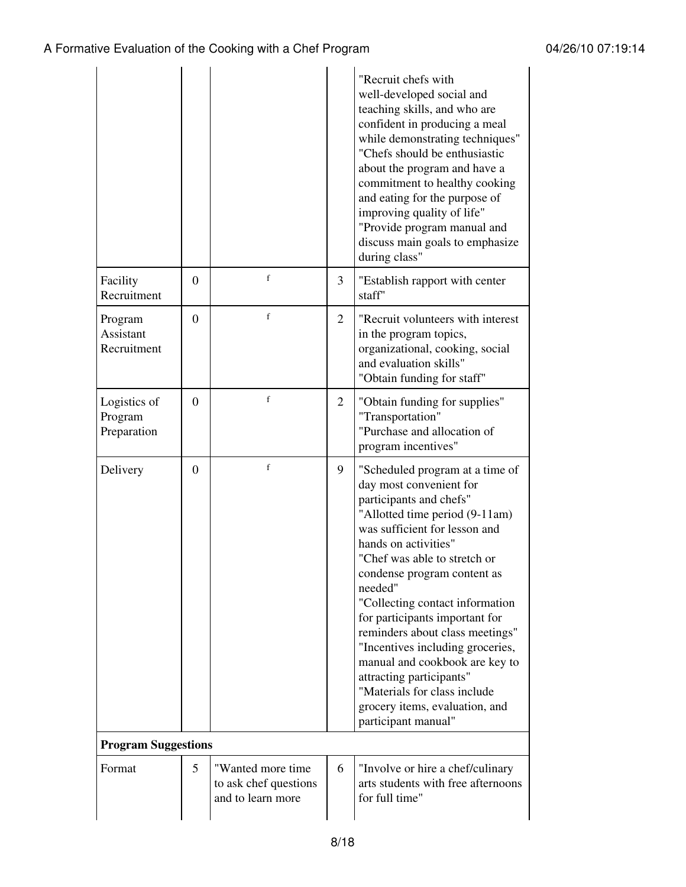|                                        |          |                                                                 |                | "Recruit chefs with<br>well-developed social and<br>teaching skills, and who are<br>confident in producing a meal<br>while demonstrating techniques"<br>"Chefs should be enthusiastic<br>about the program and have a<br>commitment to healthy cooking<br>and eating for the purpose of<br>improving quality of life"<br>"Provide program manual and<br>discuss main goals to emphasize<br>during class"                                                                                                                                                      |
|----------------------------------------|----------|-----------------------------------------------------------------|----------------|---------------------------------------------------------------------------------------------------------------------------------------------------------------------------------------------------------------------------------------------------------------------------------------------------------------------------------------------------------------------------------------------------------------------------------------------------------------------------------------------------------------------------------------------------------------|
| Facility<br>Recruitment                | $\Omega$ | f                                                               | 3              | "Establish rapport with center<br>staff"                                                                                                                                                                                                                                                                                                                                                                                                                                                                                                                      |
| Program<br>Assistant<br>Recruitment    | $\theta$ | $\mathbf f$                                                     | $\overline{2}$ | "Recruit volunteers with interest<br>in the program topics,<br>organizational, cooking, social<br>and evaluation skills"<br>"Obtain funding for staff"                                                                                                                                                                                                                                                                                                                                                                                                        |
| Logistics of<br>Program<br>Preparation | $\Omega$ | f                                                               | $\overline{2}$ | "Obtain funding for supplies"<br>"Transportation"<br>"Purchase and allocation of<br>program incentives"                                                                                                                                                                                                                                                                                                                                                                                                                                                       |
| Delivery                               | $\theta$ | $\mathbf f$                                                     | 9              | "Scheduled program at a time of<br>day most convenient for<br>participants and chefs"<br>"Allotted time period (9-11am)<br>was sufficient for lesson and<br>hands on activities"<br>"Chef was able to stretch or<br>condense program content as<br>needed"<br>"Collecting contact information<br>for participants important for<br>reminders about class meetings"<br>"Incentives including groceries,<br>manual and cookbook are key to<br>attracting participants"<br>"Materials for class include<br>grocery items, evaluation, and<br>participant manual" |
| <b>Program Suggestions</b>             |          |                                                                 |                |                                                                                                                                                                                                                                                                                                                                                                                                                                                                                                                                                               |
| Format                                 | 5        | "Wanted more time<br>to ask chef questions<br>and to learn more | 6              | "Involve or hire a chef/culinary<br>arts students with free afternoons<br>for full time"                                                                                                                                                                                                                                                                                                                                                                                                                                                                      |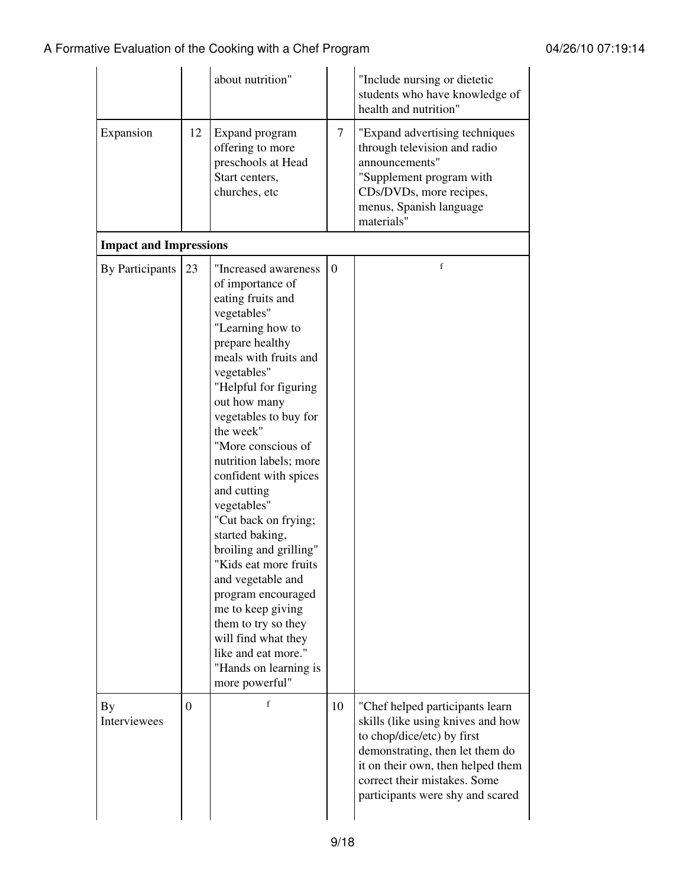|                               |          | about nutrition"                                                                                                                                                                                                                                                                                                                                                                                                                                                                                                                                                                                                               |                | "Include nursing or dietetic<br>students who have knowledge of<br>health and nutrition"                                                                                                                                                        |
|-------------------------------|----------|--------------------------------------------------------------------------------------------------------------------------------------------------------------------------------------------------------------------------------------------------------------------------------------------------------------------------------------------------------------------------------------------------------------------------------------------------------------------------------------------------------------------------------------------------------------------------------------------------------------------------------|----------------|------------------------------------------------------------------------------------------------------------------------------------------------------------------------------------------------------------------------------------------------|
| Expansion                     | 12       | Expand program<br>offering to more<br>preschools at Head<br>Start centers,<br>churches, etc                                                                                                                                                                                                                                                                                                                                                                                                                                                                                                                                    | $\overline{7}$ | "Expand advertising techniques<br>through television and radio<br>announcements"<br>"Supplement program with<br>CDs/DVDs, more recipes,<br>menus, Spanish language<br>materials"                                                               |
| <b>Impact and Impressions</b> |          |                                                                                                                                                                                                                                                                                                                                                                                                                                                                                                                                                                                                                                |                |                                                                                                                                                                                                                                                |
| <b>By Participants</b>        | 23       | "Increased awareness<br>of importance of<br>eating fruits and<br>vegetables"<br>"Learning how to<br>prepare healthy<br>meals with fruits and<br>vegetables"<br>"Helpful for figuring<br>out how many<br>vegetables to buy for<br>the week"<br>"More conscious of<br>nutrition labels; more<br>confident with spices<br>and cutting<br>vegetables"<br>"Cut back on frying;<br>started baking,<br>broiling and grilling"<br>Kids eat more fruits<br>and vegetable and<br>program encouraged<br>me to keep giving<br>them to try so they<br>will find what they<br>like and eat more."<br>"Hands on learning is<br>more powerful" | $\overline{0}$ | $\mathbf f$                                                                                                                                                                                                                                    |
| By<br>Interviewees            | $\Omega$ | $\mathbf f$                                                                                                                                                                                                                                                                                                                                                                                                                                                                                                                                                                                                                    | 10             | "Chef helped participants learn<br>skills (like using knives and how<br>to chop/dice/etc) by first<br>demonstrating, then let them do<br>it on their own, then helped them<br>correct their mistakes. Some<br>participants were shy and scared |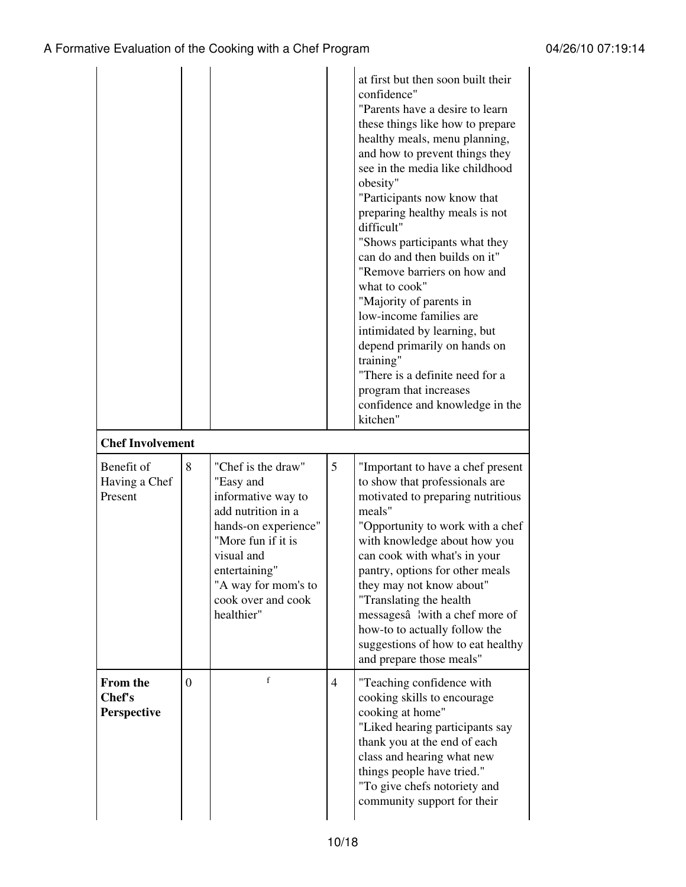| <b>Chef Involvement</b>                  |                |                                                                                                                                                                                                                     |                | at first but then soon built their<br>confidence"<br>"Parents have a desire to learn<br>these things like how to prepare<br>healthy meals, menu planning,<br>and how to prevent things they<br>see in the media like childhood<br>obesity"<br>"Participants now know that<br>preparing healthy meals is not<br>difficult"<br>"Shows participants what they<br>can do and then builds on it"<br>"Remove barriers on how and<br>what to cook"<br>"Majority of parents in<br>low-income families are<br>intimidated by learning, but<br>depend primarily on hands on<br>training"<br>"There is a definite need for a<br>program that increases<br>confidence and knowledge in the<br>kitchen" |
|------------------------------------------|----------------|---------------------------------------------------------------------------------------------------------------------------------------------------------------------------------------------------------------------|----------------|--------------------------------------------------------------------------------------------------------------------------------------------------------------------------------------------------------------------------------------------------------------------------------------------------------------------------------------------------------------------------------------------------------------------------------------------------------------------------------------------------------------------------------------------------------------------------------------------------------------------------------------------------------------------------------------------|
| Benefit of<br>Having a Chef<br>Present   | 8              | "Chef is the draw"<br>"Easy and<br>informative way to<br>add nutrition in a<br>hands-on experience"<br>"More fun if it is<br>visual and<br>entertaining"<br>"A way for mom's to<br>cook over and cook<br>healthier" | 5              | "Important to have a chef present<br>to show that professionals are<br>motivated to preparing nutritious<br>meals"<br>"Opportunity to work with a chef<br>with knowledge about how you<br>can cook with what's in your<br>pantry, options for other meals<br>they may not know about"<br>"Translating the health<br>messagesâ ¦with a chef more of<br>how-to to actually follow the<br>suggestions of how to eat healthy<br>and prepare those meals"                                                                                                                                                                                                                                       |
| <b>From the</b><br>Chef's<br>Perspective | $\overline{0}$ | $\mathbf f$                                                                                                                                                                                                         | $\overline{4}$ | "Teaching confidence with<br>cooking skills to encourage<br>cooking at home"<br>"Liked hearing participants say<br>thank you at the end of each<br>class and hearing what new<br>things people have tried."<br>"To give chefs notoriety and<br>community support for their                                                                                                                                                                                                                                                                                                                                                                                                                 |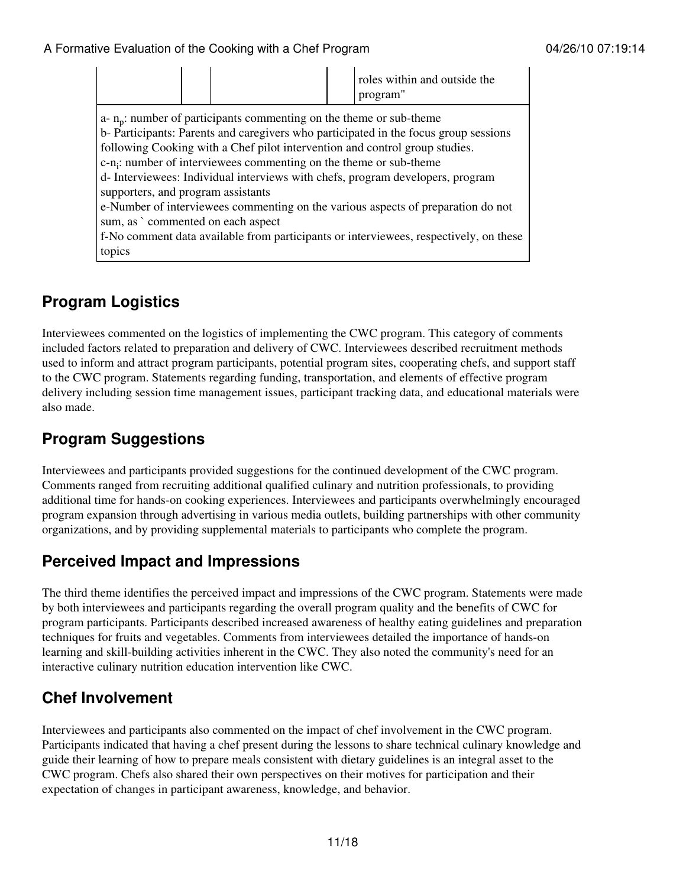|                                                                                                                                                                                                                                                                                                                       |  | roles within and outside the<br>program" |  |  |
|-----------------------------------------------------------------------------------------------------------------------------------------------------------------------------------------------------------------------------------------------------------------------------------------------------------------------|--|------------------------------------------|--|--|
| $a - n_p$ : number of participants commenting on the theme or sub-theme<br>b- Participants: Parents and caregivers who participated in the focus group sessions<br>following Cooking with a Chef pilot intervention and control group studies.<br>$c-n$ ; number of interviewees commenting on the theme or sub-theme |  |                                          |  |  |
| d-Interviewees: Individual interviews with chefs, program developers, program<br>supporters, and program assistants                                                                                                                                                                                                   |  |                                          |  |  |
| e-Number of interviewees commenting on the various aspects of preparation do not<br>sum, as ` commented on each aspect                                                                                                                                                                                                |  |                                          |  |  |
| f-No comment data available from participants or interviewees, respectively, on these<br>topics                                                                                                                                                                                                                       |  |                                          |  |  |

### **Program Logistics**

Interviewees commented on the logistics of implementing the CWC program. This category of comments included factors related to preparation and delivery of CWC. Interviewees described recruitment methods used to inform and attract program participants, potential program sites, cooperating chefs, and support staff to the CWC program. Statements regarding funding, transportation, and elements of effective program delivery including session time management issues, participant tracking data, and educational materials were also made.

### **Program Suggestions**

Interviewees and participants provided suggestions for the continued development of the CWC program. Comments ranged from recruiting additional qualified culinary and nutrition professionals, to providing additional time for hands-on cooking experiences. Interviewees and participants overwhelmingly encouraged program expansion through advertising in various media outlets, building partnerships with other community organizations, and by providing supplemental materials to participants who complete the program.

#### **Perceived Impact and Impressions**

The third theme identifies the perceived impact and impressions of the CWC program. Statements were made by both interviewees and participants regarding the overall program quality and the benefits of CWC for program participants. Participants described increased awareness of healthy eating guidelines and preparation techniques for fruits and vegetables. Comments from interviewees detailed the importance of hands-on learning and skill-building activities inherent in the CWC. They also noted the community's need for an interactive culinary nutrition education intervention like CWC.

### **Chef Involvement**

Interviewees and participants also commented on the impact of chef involvement in the CWC program. Participants indicated that having a chef present during the lessons to share technical culinary knowledge and guide their learning of how to prepare meals consistent with dietary guidelines is an integral asset to the CWC program. Chefs also shared their own perspectives on their motives for participation and their expectation of changes in participant awareness, knowledge, and behavior.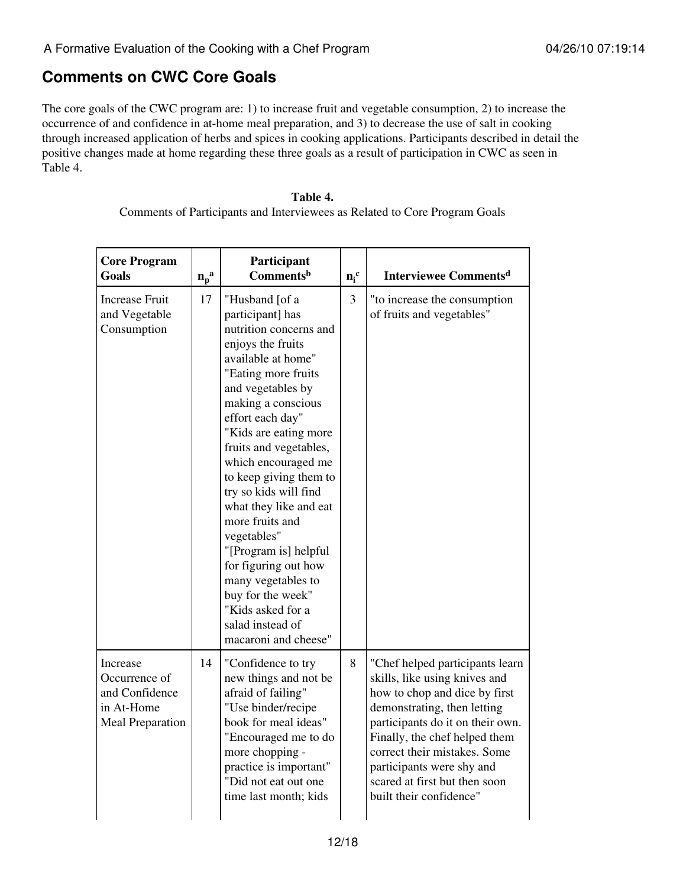#### **Comments on CWC Core Goals**

The core goals of the CWC program are: 1) to increase fruit and vegetable consumption, 2) to increase the occurrence of and confidence in at-home meal preparation, and 3) to decrease the use of salt in cooking through increased application of herbs and spices in cooking applications. Participants described in detail the positive changes made at home regarding these three goals as a result of participation in CWC as seen in Table 4.

#### **Table 4.** Comments of Participants and Interviewees as Related to Core Program Goals

| <b>Core Program</b><br>Goals                                                         | $n_p^a$ | Participant<br>Commentsb                                                                                                                                                                                                                                                                                                                                                                                                                                                                                                                            | $n_i^c$ | <b>Interviewee Commentsd</b>                                                                                                                                                                                                                                                                                                   |
|--------------------------------------------------------------------------------------|---------|-----------------------------------------------------------------------------------------------------------------------------------------------------------------------------------------------------------------------------------------------------------------------------------------------------------------------------------------------------------------------------------------------------------------------------------------------------------------------------------------------------------------------------------------------------|---------|--------------------------------------------------------------------------------------------------------------------------------------------------------------------------------------------------------------------------------------------------------------------------------------------------------------------------------|
| <b>Increase Fruit</b><br>and Vegetable<br>Consumption                                | 17      | "Husband [of a<br>participant] has<br>nutrition concerns and<br>enjoys the fruits<br>available at home"<br>"Eating more fruits<br>and vegetables by<br>making a conscious<br>effort each day"<br>"Kids are eating more<br>fruits and vegetables,<br>which encouraged me<br>to keep giving them to<br>try so kids will find<br>what they like and eat<br>more fruits and<br>vegetables"<br>"[Program is] helpful<br>for figuring out how<br>many vegetables to<br>buy for the week"<br>"Kids asked for a<br>salad instead of<br>macaroni and cheese" | 3       | "to increase the consumption<br>of fruits and vegetables"                                                                                                                                                                                                                                                                      |
| Increase<br>Occurrence of<br>and Confidence<br>in At-Home<br><b>Meal Preparation</b> | 14      | "Confidence to try<br>new things and not be<br>afraid of failing"<br>"Use binder/recipe<br>book for meal ideas"<br>"Encouraged me to do<br>more chopping -<br>practice is important"<br>"Did not eat out one<br>time last month; kids                                                                                                                                                                                                                                                                                                               | 8       | "Chef helped participants learn<br>skills, like using knives and<br>how to chop and dice by first<br>demonstrating, then letting<br>participants do it on their own.<br>Finally, the chef helped them<br>correct their mistakes. Some<br>participants were shy and<br>scared at first but then soon<br>built their confidence" |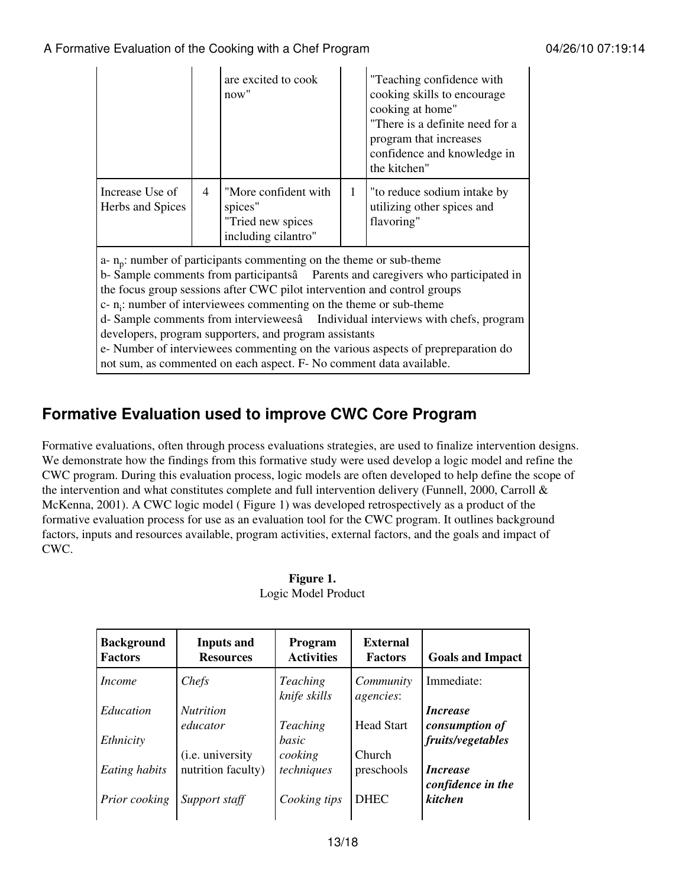|                                                                                                                                                                                                                                                                                                                                                                                                                                                                                                                                                                                                                                     |                | are excited to cook<br>now''                                                |              | "Teaching confidence with<br>cooking skills to encourage<br>cooking at home"<br>"There is a definite need for a<br>program that increases<br>confidence and knowledge in<br>the kitchen" |
|-------------------------------------------------------------------------------------------------------------------------------------------------------------------------------------------------------------------------------------------------------------------------------------------------------------------------------------------------------------------------------------------------------------------------------------------------------------------------------------------------------------------------------------------------------------------------------------------------------------------------------------|----------------|-----------------------------------------------------------------------------|--------------|------------------------------------------------------------------------------------------------------------------------------------------------------------------------------------------|
| Increase Use of<br>Herbs and Spices                                                                                                                                                                                                                                                                                                                                                                                                                                                                                                                                                                                                 | $\overline{4}$ | "More confident with<br>spices"<br>"Tried new spices<br>including cilantro" | $\mathbf{1}$ | "to reduce sodium intake by<br>utilizing other spices and<br>flavoring"                                                                                                                  |
| a- $n_p$ : number of participants commenting on the theme or sub-theme<br>b-Sample comments from participantsâ Parents and caregivers who participated in<br>the focus group sessions after CWC pilot intervention and control groups<br>$c$ - n <sub>i</sub> : number of interviewees commenting on the theme or sub-theme<br>d- Sample comments from intervieweesâ Individual interviews with chefs, program<br>developers, program supporters, and program assistants<br>e- Number of interviewees commenting on the various aspects of prepreparation do<br>not sum, as commented on each aspect. F- No comment data available. |                |                                                                             |              |                                                                                                                                                                                          |

### **Formative Evaluation used to improve CWC Core Program**

Formative evaluations, often through process evaluations strategies, are used to finalize intervention designs. We demonstrate how the findings from this formative study were used develop a logic model and refine the CWC program. During this evaluation process, logic models are often developed to help define the scope of the intervention and what constitutes complete and full intervention delivery (Funnell, 2000, Carroll & McKenna, 2001). A CWC logic model ( Figure 1) was developed retrospectively as a product of the formative evaluation process for use as an evaluation tool for the CWC program. It outlines background factors, inputs and resources available, program activities, external factors, and the goals and impact of CWC.

| <b>Background</b><br><b>Factors</b> | <b>Inputs and</b><br><b>Resources</b> | <b>Program</b><br><b>Activities</b> | External<br><b>Factors</b> | <b>Goals and Impact</b>      |
|-------------------------------------|---------------------------------------|-------------------------------------|----------------------------|------------------------------|
| <i>Income</i>                       | Chefs                                 | <b>Teaching</b><br>knife skills     | Community<br>agencies:     | Immediate:                   |
| Education                           | <i>Nutrition</i>                      |                                     |                            | <i>Increase</i>              |
|                                     | educator                              | <b>Teaching</b>                     | <b>Head Start</b>          | consumption of               |
| Ethnicity                           |                                       | basic                               |                            | fruits/vegetables            |
|                                     | (i.e. university                      | cooking                             | <b>Church</b>              |                              |
| Eating habits                       | nutrition faculty)                    | techniques                          | preschools                 | <i>Increase</i>              |
| Prior cooking                       | Support staff                         | Cooking tips                        | <b>DHEC</b>                | confidence in the<br>kitchen |

| Figure 1.           |
|---------------------|
| Logic Model Product |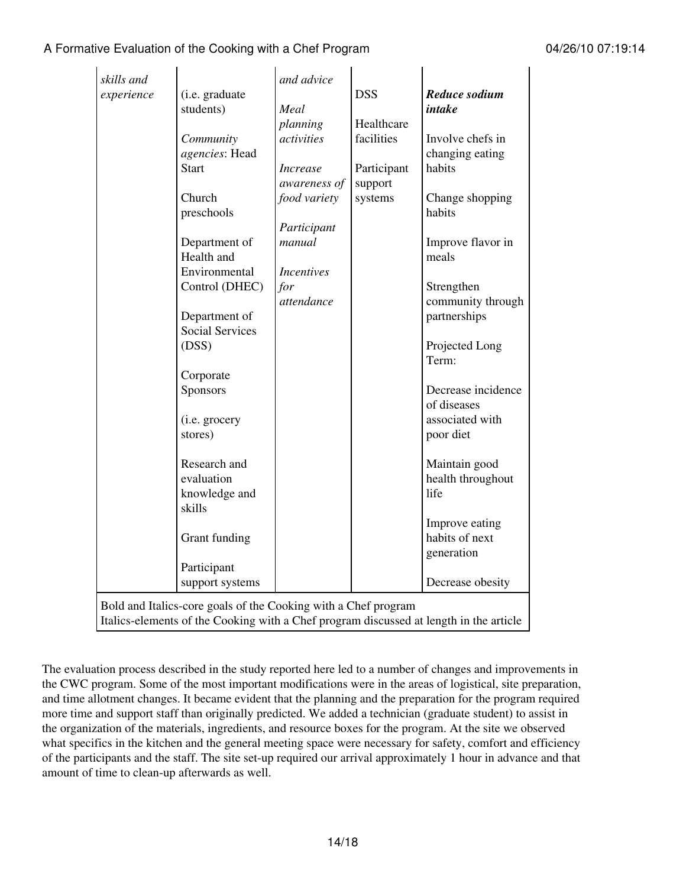| skills and                                                                             |                        | and advice        |             |                    |  |
|----------------------------------------------------------------------------------------|------------------------|-------------------|-------------|--------------------|--|
| experience                                                                             | (i.e. graduate         |                   | <b>DSS</b>  | Reduce sodium      |  |
|                                                                                        | students)              | Meal              |             | intake             |  |
|                                                                                        |                        | planning          | Healthcare  |                    |  |
|                                                                                        | Community              | activities        | facilities  | Involve chefs in   |  |
|                                                                                        | agencies: Head         |                   |             | changing eating    |  |
|                                                                                        | <b>Start</b>           | <b>Increase</b>   | Participant | habits             |  |
|                                                                                        |                        | awareness of      | support     |                    |  |
|                                                                                        | Church                 | food variety      | systems     | Change shopping    |  |
|                                                                                        | preschools             |                   |             | habits             |  |
|                                                                                        |                        | Participant       |             |                    |  |
|                                                                                        | Department of          | manual            |             | Improve flavor in  |  |
|                                                                                        | Health and             |                   |             | meals              |  |
|                                                                                        | Environmental          | <b>Incentives</b> |             |                    |  |
|                                                                                        | Control (DHEC)         | for               |             | Strengthen         |  |
|                                                                                        |                        | attendance        |             | community through  |  |
|                                                                                        | Department of          |                   |             | partnerships       |  |
|                                                                                        | <b>Social Services</b> |                   |             |                    |  |
|                                                                                        | (DSS)                  |                   |             | Projected Long     |  |
|                                                                                        |                        |                   |             | Term:              |  |
|                                                                                        | Corporate              |                   |             |                    |  |
|                                                                                        | Sponsors               |                   |             | Decrease incidence |  |
|                                                                                        |                        |                   |             | of diseases        |  |
|                                                                                        | (i.e. grocery          |                   |             | associated with    |  |
|                                                                                        | stores)                |                   |             | poor diet          |  |
|                                                                                        | Research and           |                   |             | Maintain good      |  |
|                                                                                        | evaluation             |                   |             | health throughout  |  |
|                                                                                        | knowledge and          |                   |             | life               |  |
|                                                                                        | skills                 |                   |             |                    |  |
|                                                                                        |                        |                   |             | Improve eating     |  |
|                                                                                        | Grant funding          |                   |             | habits of next     |  |
|                                                                                        |                        |                   |             | generation         |  |
|                                                                                        | Participant            |                   |             |                    |  |
|                                                                                        | support systems        |                   |             | Decrease obesity   |  |
| Bold and Italics-core goals of the Cooking with a Chef program                         |                        |                   |             |                    |  |
| Italics-elements of the Cooking with a Chef program discussed at length in the article |                        |                   |             |                    |  |

The evaluation process described in the study reported here led to a number of changes and improvements in the CWC program. Some of the most important modifications were in the areas of logistical, site preparation, and time allotment changes. It became evident that the planning and the preparation for the program required more time and support staff than originally predicted. We added a technician (graduate student) to assist in the organization of the materials, ingredients, and resource boxes for the program. At the site we observed what specifics in the kitchen and the general meeting space were necessary for safety, comfort and efficiency of the participants and the staff. The site set-up required our arrival approximately 1 hour in advance and that amount of time to clean-up afterwards as well.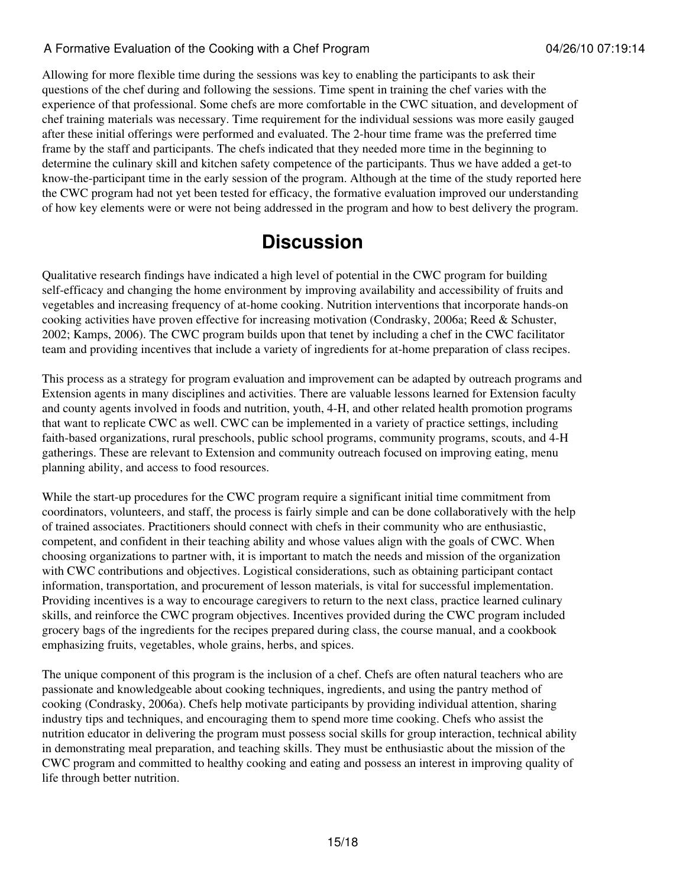Allowing for more flexible time during the sessions was key to enabling the participants to ask their questions of the chef during and following the sessions. Time spent in training the chef varies with the experience of that professional. Some chefs are more comfortable in the CWC situation, and development of chef training materials was necessary. Time requirement for the individual sessions was more easily gauged after these initial offerings were performed and evaluated. The 2-hour time frame was the preferred time frame by the staff and participants. The chefs indicated that they needed more time in the beginning to determine the culinary skill and kitchen safety competence of the participants. Thus we have added a get-to know-the-participant time in the early session of the program. Although at the time of the study reported here the CWC program had not yet been tested for efficacy, the formative evaluation improved our understanding of how key elements were or were not being addressed in the program and how to best delivery the program.

## **Discussion**

Qualitative research findings have indicated a high level of potential in the CWC program for building self-efficacy and changing the home environment by improving availability and accessibility of fruits and vegetables and increasing frequency of at-home cooking. Nutrition interventions that incorporate hands-on cooking activities have proven effective for increasing motivation (Condrasky, 2006a; Reed & Schuster, 2002; Kamps, 2006). The CWC program builds upon that tenet by including a chef in the CWC facilitator team and providing incentives that include a variety of ingredients for at-home preparation of class recipes.

This process as a strategy for program evaluation and improvement can be adapted by outreach programs and Extension agents in many disciplines and activities. There are valuable lessons learned for Extension faculty and county agents involved in foods and nutrition, youth, 4-H, and other related health promotion programs that want to replicate CWC as well. CWC can be implemented in a variety of practice settings, including faith-based organizations, rural preschools, public school programs, community programs, scouts, and 4-H gatherings. These are relevant to Extension and community outreach focused on improving eating, menu planning ability, and access to food resources.

While the start-up procedures for the CWC program require a significant initial time commitment from coordinators, volunteers, and staff, the process is fairly simple and can be done collaboratively with the help of trained associates. Practitioners should connect with chefs in their community who are enthusiastic, competent, and confident in their teaching ability and whose values align with the goals of CWC. When choosing organizations to partner with, it is important to match the needs and mission of the organization with CWC contributions and objectives. Logistical considerations, such as obtaining participant contact information, transportation, and procurement of lesson materials, is vital for successful implementation. Providing incentives is a way to encourage caregivers to return to the next class, practice learned culinary skills, and reinforce the CWC program objectives. Incentives provided during the CWC program included grocery bags of the ingredients for the recipes prepared during class, the course manual, and a cookbook emphasizing fruits, vegetables, whole grains, herbs, and spices.

The unique component of this program is the inclusion of a chef. Chefs are often natural teachers who are passionate and knowledgeable about cooking techniques, ingredients, and using the pantry method of cooking (Condrasky, 2006a). Chefs help motivate participants by providing individual attention, sharing industry tips and techniques, and encouraging them to spend more time cooking. Chefs who assist the nutrition educator in delivering the program must possess social skills for group interaction, technical ability in demonstrating meal preparation, and teaching skills. They must be enthusiastic about the mission of the CWC program and committed to healthy cooking and eating and possess an interest in improving quality of life through better nutrition.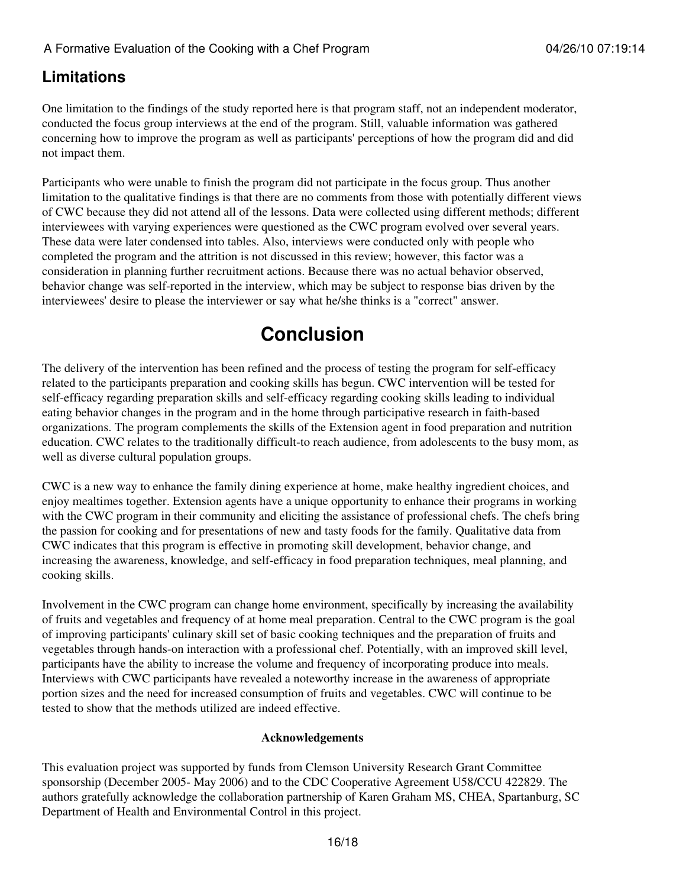### **Limitations**

One limitation to the findings of the study reported here is that program staff, not an independent moderator, conducted the focus group interviews at the end of the program. Still, valuable information was gathered concerning how to improve the program as well as participants' perceptions of how the program did and did not impact them.

Participants who were unable to finish the program did not participate in the focus group. Thus another limitation to the qualitative findings is that there are no comments from those with potentially different views of CWC because they did not attend all of the lessons. Data were collected using different methods; different interviewees with varying experiences were questioned as the CWC program evolved over several years. These data were later condensed into tables. Also, interviews were conducted only with people who completed the program and the attrition is not discussed in this review; however, this factor was a consideration in planning further recruitment actions. Because there was no actual behavior observed, behavior change was self-reported in the interview, which may be subject to response bias driven by the interviewees' desire to please the interviewer or say what he/she thinks is a "correct" answer.

# **Conclusion**

The delivery of the intervention has been refined and the process of testing the program for self-efficacy related to the participants preparation and cooking skills has begun. CWC intervention will be tested for self-efficacy regarding preparation skills and self-efficacy regarding cooking skills leading to individual eating behavior changes in the program and in the home through participative research in faith-based organizations. The program complements the skills of the Extension agent in food preparation and nutrition education. CWC relates to the traditionally difficult-to reach audience, from adolescents to the busy mom, as well as diverse cultural population groups.

CWC is a new way to enhance the family dining experience at home, make healthy ingredient choices, and enjoy mealtimes together. Extension agents have a unique opportunity to enhance their programs in working with the CWC program in their community and eliciting the assistance of professional chefs. The chefs bring the passion for cooking and for presentations of new and tasty foods for the family. Qualitative data from CWC indicates that this program is effective in promoting skill development, behavior change, and increasing the awareness, knowledge, and self-efficacy in food preparation techniques, meal planning, and cooking skills.

Involvement in the CWC program can change home environment, specifically by increasing the availability of fruits and vegetables and frequency of at home meal preparation. Central to the CWC program is the goal of improving participants' culinary skill set of basic cooking techniques and the preparation of fruits and vegetables through hands-on interaction with a professional chef. Potentially, with an improved skill level, participants have the ability to increase the volume and frequency of incorporating produce into meals. Interviews with CWC participants have revealed a noteworthy increase in the awareness of appropriate portion sizes and the need for increased consumption of fruits and vegetables. CWC will continue to be tested to show that the methods utilized are indeed effective.

#### **Acknowledgements**

This evaluation project was supported by funds from Clemson University Research Grant Committee sponsorship (December 2005- May 2006) and to the CDC Cooperative Agreement U58/CCU 422829. The authors gratefully acknowledge the collaboration partnership of Karen Graham MS, CHEA, Spartanburg, SC Department of Health and Environmental Control in this project.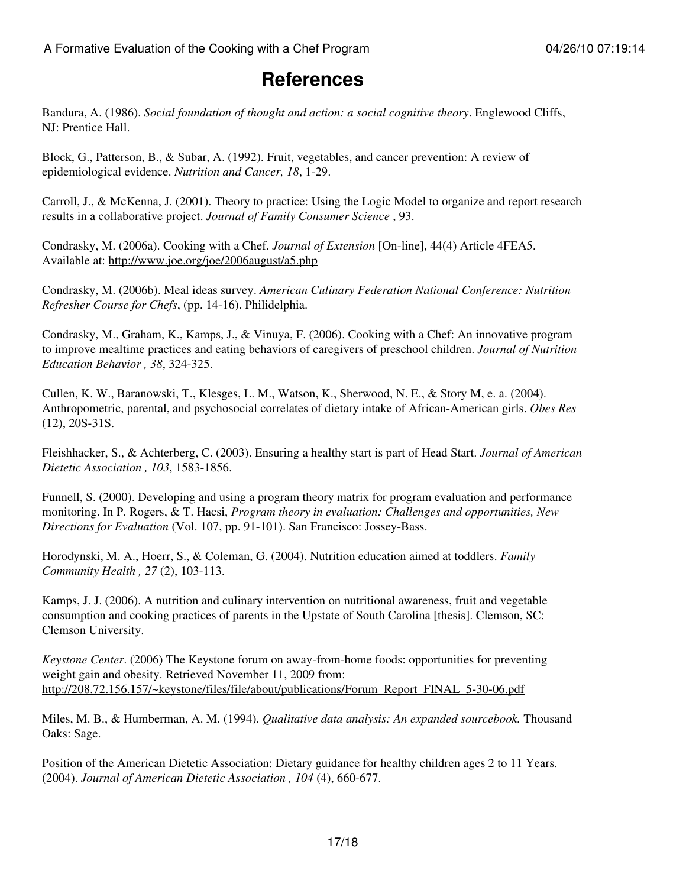## **References**

Bandura, A. (1986). *Social foundation of thought and action: a social cognitive theory*. Englewood Cliffs, NJ: Prentice Hall.

Block, G., Patterson, B., & Subar, A. (1992). Fruit, vegetables, and cancer prevention: A review of epidemiological evidence. *Nutrition and Cancer, 18*, 1-29.

Carroll, J., & McKenna, J. (2001). Theory to practice: Using the Logic Model to organize and report research results in a collaborative project. *Journal of Family Consumer Science* , 93.

Condrasky, M. (2006a). Cooking with a Chef. *Journal of Extension* [On-line], 44(4) Article 4FEA5. Available at: <http://www.joe.org/joe/2006august/a5.php>

Condrasky, M. (2006b). Meal ideas survey. *American Culinary Federation National Conference: Nutrition Refresher Course for Chefs*, (pp. 14-16). Philidelphia.

Condrasky, M., Graham, K., Kamps, J., & Vinuya, F. (2006). Cooking with a Chef: An innovative program to improve mealtime practices and eating behaviors of caregivers of preschool children. *Journal of Nutrition Education Behavior , 38*, 324-325.

Cullen, K. W., Baranowski, T., Klesges, L. M., Watson, K., Sherwood, N. E., & Story M, e. a. (2004). Anthropometric, parental, and psychosocial correlates of dietary intake of African-American girls. *Obes Res* (12), 20S-31S.

Fleishhacker, S., & Achterberg, C. (2003). Ensuring a healthy start is part of Head Start. *Journal of American Dietetic Association , 103*, 1583-1856.

Funnell, S. (2000). Developing and using a program theory matrix for program evaluation and performance monitoring. In P. Rogers, & T. Hacsi, *Program theory in evaluation: Challenges and opportunities, New Directions for Evaluation* (Vol. 107, pp. 91-101). San Francisco: Jossey-Bass.

Horodynski, M. A., Hoerr, S., & Coleman, G. (2004). Nutrition education aimed at toddlers. *Family Community Health , 27* (2), 103-113.

Kamps, J. J. (2006). A nutrition and culinary intervention on nutritional awareness, fruit and vegetable consumption and cooking practices of parents in the Upstate of South Carolina [thesis]. Clemson, SC: Clemson University.

*Keystone Center*. (2006) The Keystone forum on away-from-home foods: opportunities for preventing weight gain and obesity. Retrieved November 11, 2009 from: [http://208.72.156.157/~keystone/files/file/about/publications/Forum\\_Report\\_FINAL\\_5-30-06.pdf](http://208.72.156.157/~keystone/files/file/about/publications/Forum_Report_FINAL_5-30-06.pdf)

Miles, M. B., & Humberman, A. M. (1994). *Qualitative data analysis: An expanded sourcebook.* Thousand Oaks: Sage.

Position of the American Dietetic Association: Dietary guidance for healthy children ages 2 to 11 Years. (2004). *Journal of American Dietetic Association , 104* (4), 660-677.